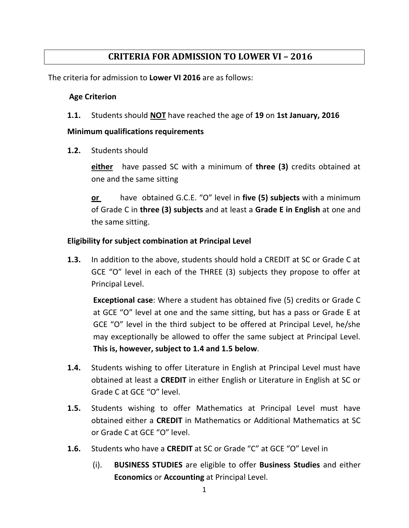## **CRITERIA FOR ADMISSION TO LOWER VI – 2016**

The criteria for admission to **Lower VI 2016** are as follows:

## **Age Criterion**

**1.1.** Students should **NOT** have reached the age of **19** on **1st January, 2016**

## **Minimum qualifications requirements**

**1.2.** Students should

**either** have passed SC with a minimum of **three (3)** credits obtained at one and the same sitting

**or** have obtained G.C.E. "O" level in **five (5) subjects** with a minimum of Grade C in **three (3) subjects** and at least a **Grade E in English** at one and the same sitting.

## **Eligibility for subject combination at Principal Level**

**1.3.** In addition to the above, students should hold a CREDIT at SC or Grade C at GCE "O" level in each of the THREE (3) subjects they propose to offer at Principal Level.

**Exceptional case**: Where a student has obtained five (5) credits or Grade C at GCE "O" level at one and the same sitting, but has a pass or Grade E at GCE "O" level in the third subject to be offered at Principal Level, he/she may exceptionally be allowed to offer the same subject at Principal Level. **This is, however, subject to 1.4 and 1.5 below**.

- **1.4.** Students wishing to offer Literature in English at Principal Level must have obtained at least a **CREDIT** in either English or Literature in English at SC or Grade C at GCE "O" level.
- **1.5.** Students wishing to offer Mathematics at Principal Level must have obtained either a **CREDIT** in Mathematics or Additional Mathematics at SC or Grade C at GCE "O" level.
- **1.6.** Students who have a **CREDIT** at SC or Grade "C" at GCE "O" Level in
	- (i). **BUSINESS STUDIES** are eligible to offer **Business Studies** and either **Economics** or **Accounting** at Principal Level.